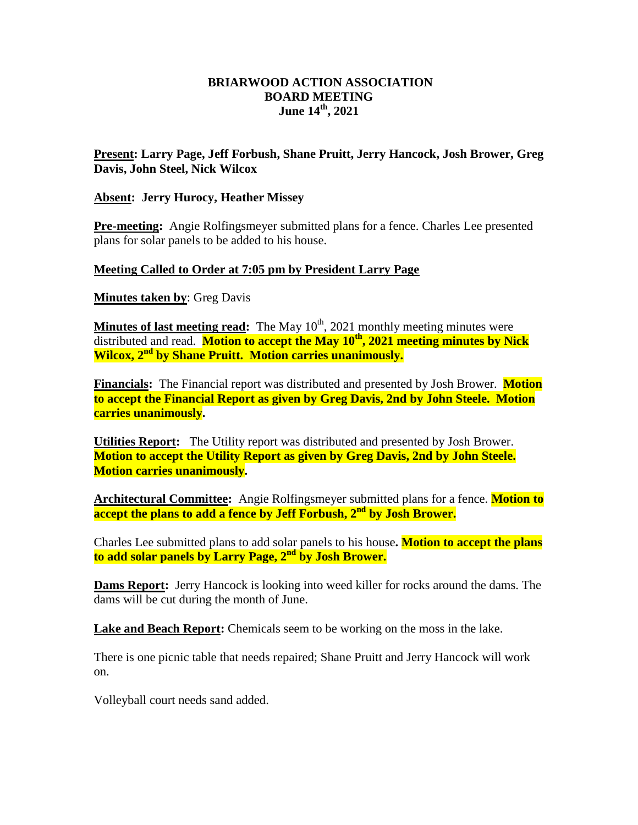## **BRIARWOOD ACTION ASSOCIATION BOARD MEETING June 14 th, 2021**

## **Present: Larry Page, Jeff Forbush, Shane Pruitt, Jerry Hancock, Josh Brower, Greg Davis, John Steel, Nick Wilcox**

## **Absent: Jerry Hurocy, Heather Missey**

**Pre-meeting:** Angie Rolfingsmeyer submitted plans for a fence. Charles Lee presented plans for solar panels to be added to his house.

## **Meeting Called to Order at 7:05 pm by President Larry Page**

**Minutes taken by**: Greg Davis

**Minutes of last meeting read:** The May 10<sup>th</sup>, 2021 monthly meeting minutes were distributed and read. **Motion to accept the May 10 th, 2021 meeting minutes by Nick Wilcox, 2nd by Shane Pruitt. Motion carries unanimously.**

**Financials:** The Financial report was distributed and presented by Josh Brower. **Motion to accept the Financial Report as given by Greg Davis, 2nd by John Steele. Motion carries unanimously.** 

**Utilities Report:** The Utility report was distributed and presented by Josh Brower. **Motion to accept the Utility Report as given by Greg Davis, 2nd by John Steele. Motion carries unanimously.** 

**Architectural Committee:** Angie Rolfingsmeyer submitted plans for a fence. **Motion to accept the plans to add a fence by Jeff Forbush, 2nd by Josh Brower.**

Charles Lee submitted plans to add solar panels to his house**. Motion to accept the plans to add solar panels by Larry Page, 2nd by Josh Brower.**

**Dams Report:** Jerry Hancock is looking into weed killer for rocks around the dams. The dams will be cut during the month of June.

**Lake and Beach Report:** Chemicals seem to be working on the moss in the lake.

There is one picnic table that needs repaired; Shane Pruitt and Jerry Hancock will work on.

Volleyball court needs sand added.